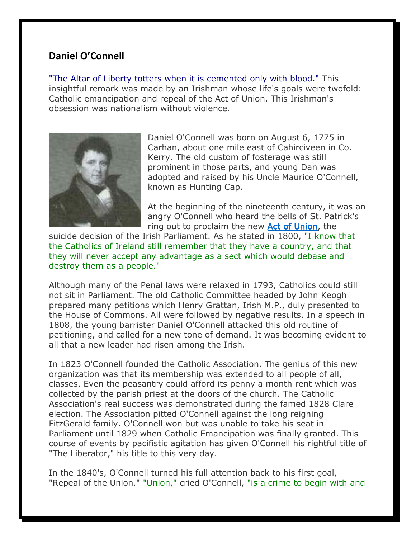## **Daniel O'Connell**

"The Altar of Liberty totters when it is cemented only with blood." This insightful remark was made by an Irishman whose life's goals were twofold: Catholic emancipation and repeal of the Act of Union. This Irishman's obsession was nationalism without violence.



Daniel O'Connell was born on August 6, 1775 in Carhan, about one mile east of Cahirciveen in Co. Kerry. The old custom of fosterage was still prominent in those parts, and young Dan was adopted and raised by his Uncle Maurice O'Connell, known as Hunting Cap.

At the beginning of the nineteenth century, it was an angry O'Connell who heard the bells of St. Patrick's ring out to proclaim the new Act of Union, the

suicide decision of the Irish Parliament. As he stated in 1800, "I know that the Catholics of Ireland still remember that they have a country, and that they will never accept any advantage as a sect which would debase and destroy them as a people."

Although many of the Penal laws were relaxed in 1793, Catholics could still not sit in Parliament. The old Catholic Committee headed by John Keogh prepared many petitions which Henry Grattan, Irish M.P., duly presented to the House of Commons. All were followed by negative results. In a speech in 1808, the young barrister Daniel O'Connell attacked this old routine of petitioning, and called for a new tone of demand. It was becoming evident to all that a new leader had risen among the Irish.

In 1823 O'Connell founded the Catholic Association. The genius of this new organization was that its membership was extended to all people of all, classes. Even the peasantry could afford its penny a month rent which was collected by the parish priest at the doors of the church. The Catholic Association's real success was demonstrated during the famed 1828 Clare election. The Association pitted O'Connell against the long reigning FitzGerald family. O'Connell won but was unable to take his seat in Parliament until 1829 when Catholic Emancipation was finally granted. This course of events by pacifistic agitation has given O'Connell his rightful title of "The Liberator," his title to this very day.

In the 1840's, O'Connell turned his full attention back to his first goal, "Repeal of the Union." "Union," cried O'Connell, "is a crime to begin with and